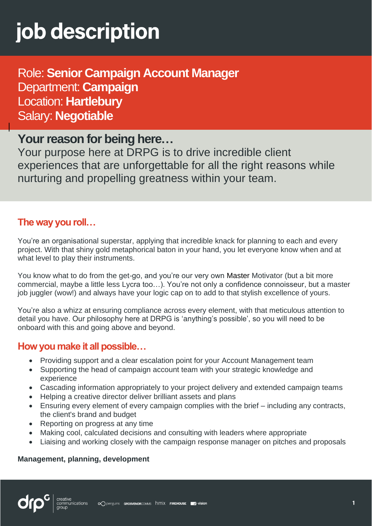# job description

Role: **Senior Campaign Account Manager** Department: **Campaign**  Location: **Hartlebury** Salary: **Negotiable**

## **Your reason for being here…**

Your purpose here at DRPG is to drive incredible client experiences that are unforgettable for all the right reasons while nurturing and propelling greatness within your team.

## **The way you roll…**

You're an organisational superstar, applying that incredible knack for planning to each and every project. With that shiny gold metaphorical baton in your hand, you let everyone know when and at what level to play their instruments.

You know what to do from the get-go, and you're our very own Master Motivator (but a bit more commercial, maybe a little less Lycra too…). You're not only a confidence connoisseur, but a master job juggler (wow!) and always have your logic cap on to add to that stylish excellence of yours.

You're also a whizz at ensuring compliance across every element, with that meticulous attention to detail you have. Our philosophy here at DRPG is 'anything's possible', so you will need to be onboard with this and going above and beyond.

## **How you make it all possible…**

- Providing support and a clear escalation point for your Account Management team
- Supporting the head of campaign account team with your strategic knowledge and experience
- Cascading information appropriately to your project delivery and extended campaign teams
- Helping a creative director deliver brilliant assets and plans
- Ensuring every element of every campaign complies with the brief including any contracts, the client's brand and budget
- Reporting on progress at any time
- Making cool, calculated decisions and consulting with leaders where appropriate
- Liaising and working closely with the campaign response manager on pitches and proposals

#### **Management, planning, development**

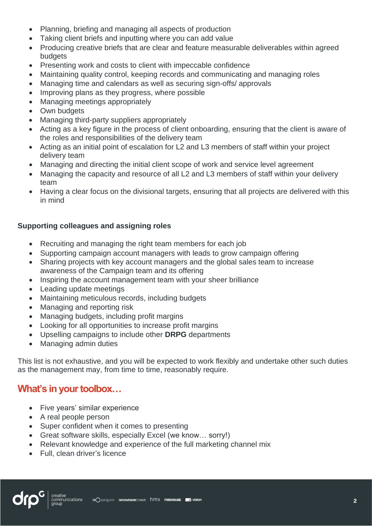- Planning, briefing and managing all aspects of production
- Taking client briefs and inputting where you can add value
- Producing creative briefs that are clear and feature measurable deliverables within agreed budgets
- Presenting work and costs to client with impeccable confidence
- Maintaining quality control, keeping records and communicating and managing roles
- Managing time and calendars as well as securing sign-offs/ approvals
- Improving plans as they progress, where possible
- Managing meetings appropriately
- Own budgets
- Managing third-party suppliers appropriately
- Acting as a key figure in the process of client onboarding, ensuring that the client is aware of the roles and responsibilities of the delivery team
- Acting as an initial point of escalation for L2 and L3 members of staff within your project delivery team
- Managing and directing the initial client scope of work and service level agreement
- Managing the capacity and resource of all L2 and L3 members of staff within your delivery team
- Having a clear focus on the divisional targets, ensuring that all projects are delivered with this in mind

#### **Supporting colleagues and assigning roles**

- Recruiting and managing the right team members for each job
- Supporting campaign account managers with leads to grow campaign offering
- Sharing projects with key account managers and the global sales team to increase awareness of the Campaign team and its offering
- Inspiring the account management team with your sheer brilliance
- Leading update meetings
- Maintaining meticulous records, including budgets
- Managing and reporting risk
- Managing budgets, including profit margins
- Looking for all opportunities to increase profit margins
- Upselling campaigns to include other **DRPG** departments
- Managing admin duties

This list is not exhaustive, and you will be expected to work flexibly and undertake other such duties as the management may, from time to time, reasonably require.

## **What's in your toolbox…**

- Five years' similar experience
- A real people person
- Super confident when it comes to presenting
- Great software skills, especially Excel (we know… sorry!)
- Relevant knowledge and experience of the full marketing channel mix
- Full, clean driver's licence